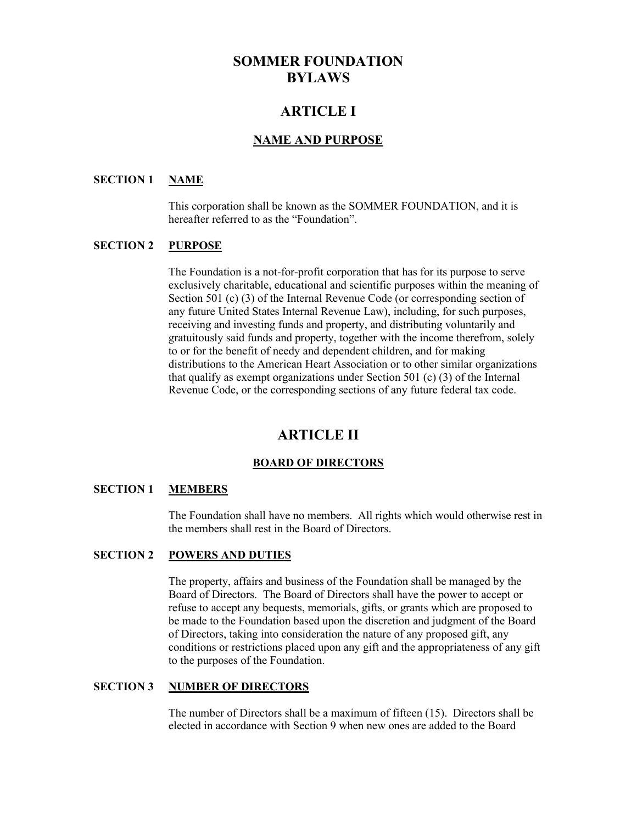# **SOMMER FOUNDATION BYLAWS**

# **ARTICLE I**

## **NAME AND PURPOSE**

## **SECTION 1 NAME**

This corporation shall be known as the SOMMER FOUNDATION, and it is hereafter referred to as the "Foundation".

## **SECTION 2 PURPOSE**

The Foundation is a not-for-profit corporation that has for its purpose to serve exclusively charitable, educational and scientific purposes within the meaning of Section 501 (c) (3) of the Internal Revenue Code (or corresponding section of any future United States Internal Revenue Law), including, for such purposes, receiving and investing funds and property, and distributing voluntarily and gratuitously said funds and property, together with the income therefrom, solely to or for the benefit of needy and dependent children, and for making distributions to the American Heart Association or to other similar organizations that qualify as exempt organizations under Section 501 (c) (3) of the Internal Revenue Code, or the corresponding sections of any future federal tax code.

# **ARTICLE II**

### **BOARD OF DIRECTORS**

#### **SECTION 1 MEMBERS**

The Foundation shall have no members. All rights which would otherwise rest in the members shall rest in the Board of Directors.

#### **SECTION 2 POWERS AND DUTIES**

The property, affairs and business of the Foundation shall be managed by the Board of Directors. The Board of Directors shall have the power to accept or refuse to accept any bequests, memorials, gifts, or grants which are proposed to be made to the Foundation based upon the discretion and judgment of the Board of Directors, taking into consideration the nature of any proposed gift, any conditions or restrictions placed upon any gift and the appropriateness of any gift to the purposes of the Foundation.

#### **SECTION 3 NUMBER OF DIRECTORS**

The number of Directors shall be a maximum of fifteen (15). Directors shall be elected in accordance with Section 9 when new ones are added to the Board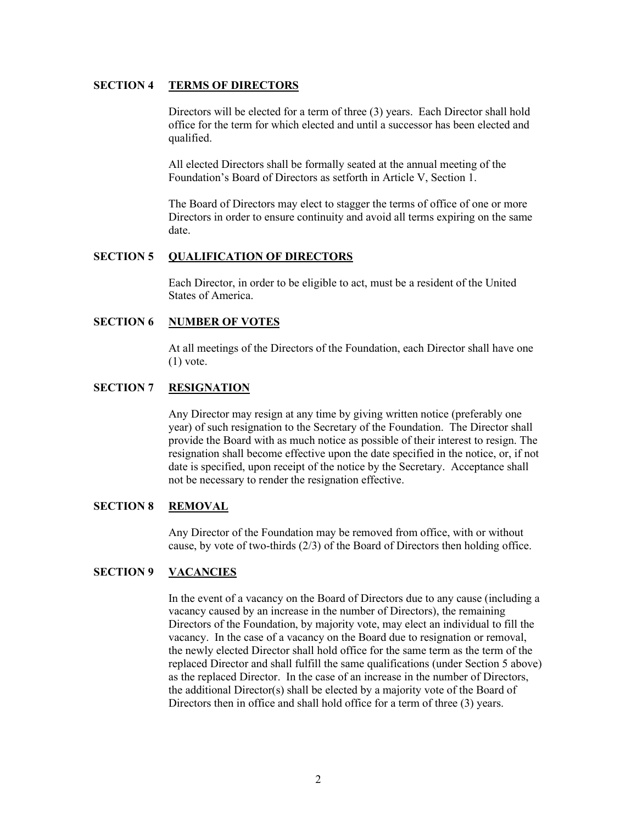### **SECTION 4 TERMS OF DIRECTORS**

Directors will be elected for a term of three (3) years. Each Director shall hold office for the term for which elected and until a successor has been elected and qualified.

All elected Directors shall be formally seated at the annual meeting of the Foundation's Board of Directors as setforth in Article V, Section 1.

The Board of Directors may elect to stagger the terms of office of one or more Directors in order to ensure continuity and avoid all terms expiring on the same date.

#### **SECTION 5 QUALIFICATION OF DIRECTORS**

Each Director, in order to be eligible to act, must be a resident of the United States of America.

## **SECTION 6 NUMBER OF VOTES**

At all meetings of the Directors of the Foundation, each Director shall have one  $(1)$  vote.

#### **SECTION 7 RESIGNATION**

Any Director may resign at any time by giving written notice (preferably one year) of such resignation to the Secretary of the Foundation. The Director shall provide the Board with as much notice as possible of their interest to resign. The resignation shall become effective upon the date specified in the notice, or, if not date is specified, upon receipt of the notice by the Secretary. Acceptance shall not be necessary to render the resignation effective.

### **SECTION 8 REMOVAL**

Any Director of the Foundation may be removed from office, with or without cause, by vote of two-thirds (2/3) of the Board of Directors then holding office.

## **SECTION 9 VACANCIES**

In the event of a vacancy on the Board of Directors due to any cause (including a vacancy caused by an increase in the number of Directors), the remaining Directors of the Foundation, by majority vote, may elect an individual to fill the vacancy. In the case of a vacancy on the Board due to resignation or removal, the newly elected Director shall hold office for the same term as the term of the replaced Director and shall fulfill the same qualifications (under Section 5 above) as the replaced Director. In the case of an increase in the number of Directors, the additional Director(s) shall be elected by a majority vote of the Board of Directors then in office and shall hold office for a term of three (3) years.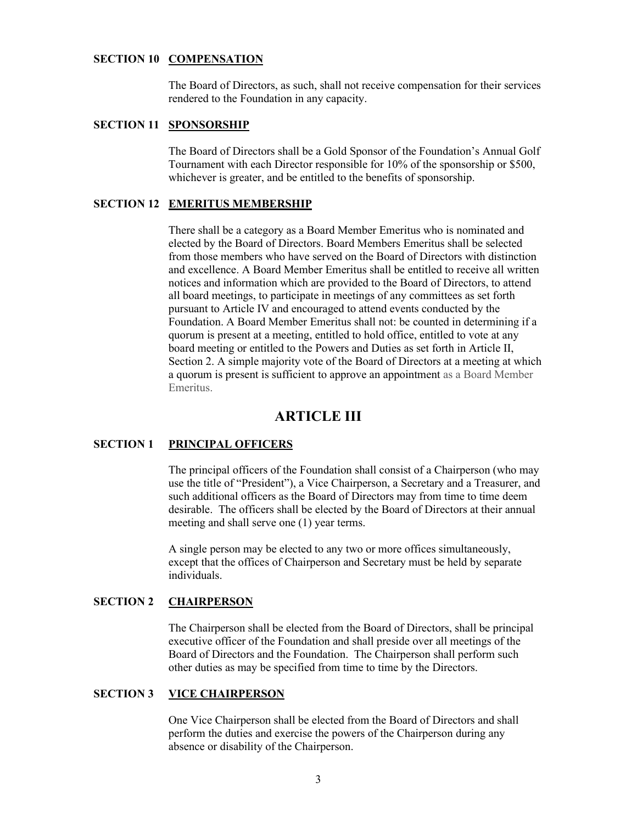#### **SECTION 10 COMPENSATION**

The Board of Directors, as such, shall not receive compensation for their services rendered to the Foundation in any capacity.

## **SECTION 11 SPONSORSHIP**

The Board of Directors shall be a Gold Sponsor of the Foundation's Annual Golf Tournament with each Director responsible for 10% of the sponsorship or \$500, whichever is greater, and be entitled to the benefits of sponsorship.

#### **SECTION 12 EMERITUS MEMBERSHIP**

There shall be a category as a Board Member Emeritus who is nominated and elected by the Board of Directors. Board Members Emeritus shall be selected from those members who have served on the Board of Directors with distinction and excellence. A Board Member Emeritus shall be entitled to receive all written notices and information which are provided to the Board of Directors, to attend all board meetings, to participate in meetings of any committees as set forth pursuant to Article IV and encouraged to attend events conducted by the Foundation. A Board Member Emeritus shall not: be counted in determining if a quorum is present at a meeting, entitled to hold office, entitled to vote at any board meeting or entitled to the Powers and Duties as set forth in Article II, Section 2. A simple majority vote of the Board of Directors at a meeting at which a quorum is present is sufficient to approve an appointment as a Board Member Emeritus.

# **ARTICLE III**

#### **SECTION 1 PRINCIPAL OFFICERS**

The principal officers of the Foundation shall consist of a Chairperson (who may use the title of "President"), a Vice Chairperson, a Secretary and a Treasurer, and such additional officers as the Board of Directors may from time to time deem desirable. The officers shall be elected by the Board of Directors at their annual meeting and shall serve one (1) year terms.

A single person may be elected to any two or more offices simultaneously, except that the offices of Chairperson and Secretary must be held by separate individuals.

#### **SECTION 2 CHAIRPERSON**

The Chairperson shall be elected from the Board of Directors, shall be principal executive officer of the Foundation and shall preside over all meetings of the Board of Directors and the Foundation. The Chairperson shall perform such other duties as may be specified from time to time by the Directors.

#### **SECTION 3 VICE CHAIRPERSON**

One Vice Chairperson shall be elected from the Board of Directors and shall perform the duties and exercise the powers of the Chairperson during any absence or disability of the Chairperson.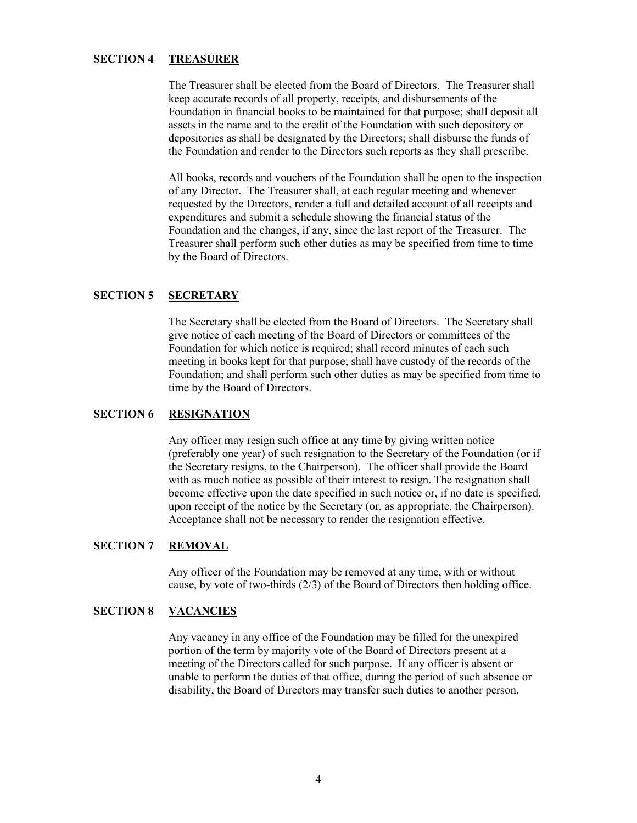## **SECTION 4 TREASURER**

The Treasurer shall be elected from the Board of Directors. The Treasurer shall keep accurate records of all property, receipts, and disbursements of the Foundation in financial books to be maintained for that purpose; shall deposit all assets in the name and to the credit of the Foundation with such depository or depositories as shall be designated by the Directors; shall disburse the funds of the Foundation and render to the Directors such reports as they shall prescribe.

All books, records and vouchers of the Foundation shall be open to the inspection of any Director. The Treasurer shall, at each regular meeting and whenever requested by the Directors, render a full and detailed account of all receipts and expenditures and submit a schedule showing the financial status of the Foundation and the changes, if any, since the last report of the Treasurer. The Treasurer shall perform such other duties as may be specified from time to time by the Board of Directors.

### **SECTION 5 SECRETARY**

The Secretary shall be elected from the Board of Directors. The Secretary shall give notice of each meeting of the Board of Directors or committees of the Foundation for which notice is required; shall record minutes of each such meeting in books kept for that purpose; shall have custody of the records of the Foundation; and shall perform such other duties as may be specified from time to time by the Board of Directors.

### **SECTION 6 RESIGNATION**

Any officer may resign such office at any time by giving written notice (preferably one year) of such resignation to the Secretary of the Foundation (or if the Secretary resigns, to the Chairperson). The officer shall provide the Board with as much notice as possible of their interest to resign. The resignation shall become effective upon the date specified in such notice or, if no date is specified, upon receipt of the notice by the Secretary (or, as appropriate, the Chairperson). Acceptance shall not be necessary to render the resignation effective.

### **SECTION 7 REMOVAL**

Any officer of the Foundation may be removed at any time, with or without cause, by vote of two-thirds (2/3) of the Board of Directors then holding office.

### **SECTION 8 VACANCIES**

Any vacancy in any office of the Foundation may be filled for the unexpired portion of the term by majority vote of the Board of Directors present at a meeting of the Directors called for such purpose. If any officer is absent or unable to perform the duties of that office, during the period of such absence or disability, the Board of Directors may transfer such duties to another person.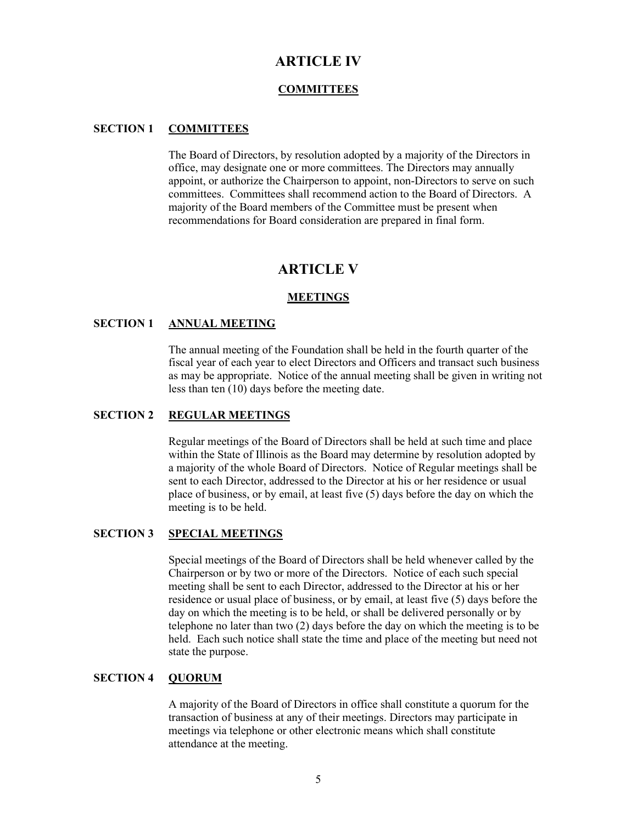# **ARTICLE IV**

### **COMMITTEES**

#### **SECTION 1 COMMITTEES**

The Board of Directors, by resolution adopted by a majority of the Directors in office, may designate one or more committees. The Directors may annually appoint, or authorize the Chairperson to appoint, non-Directors to serve on such committees. Committees shall recommend action to the Board of Directors. A majority of the Board members of the Committee must be present when recommendations for Board consideration are prepared in final form.

## **ARTICLE V**

#### **MEETINGS**

#### **SECTION 1 ANNUAL MEETING**

The annual meeting of the Foundation shall be held in the fourth quarter of the fiscal year of each year to elect Directors and Officers and transact such business as may be appropriate. Notice of the annual meeting shall be given in writing not less than ten (10) days before the meeting date.

### **SECTION 2 REGULAR MEETINGS**

Regular meetings of the Board of Directors shall be held at such time and place within the State of Illinois as the Board may determine by resolution adopted by a majority of the whole Board of Directors. Notice of Regular meetings shall be sent to each Director, addressed to the Director at his or her residence or usual place of business, or by email, at least five (5) days before the day on which the meeting is to be held.

### **SECTION 3 SPECIAL MEETINGS**

Special meetings of the Board of Directors shall be held whenever called by the Chairperson or by two or more of the Directors. Notice of each such special meeting shall be sent to each Director, addressed to the Director at his or her residence or usual place of business, or by email, at least five (5) days before the day on which the meeting is to be held, or shall be delivered personally or by telephone no later than two (2) days before the day on which the meeting is to be held. Each such notice shall state the time and place of the meeting but need not state the purpose.

#### **SECTION 4 QUORUM**

A majority of the Board of Directors in office shall constitute a quorum for the transaction of business at any of their meetings. Directors may participate in meetings via telephone or other electronic means which shall constitute attendance at the meeting.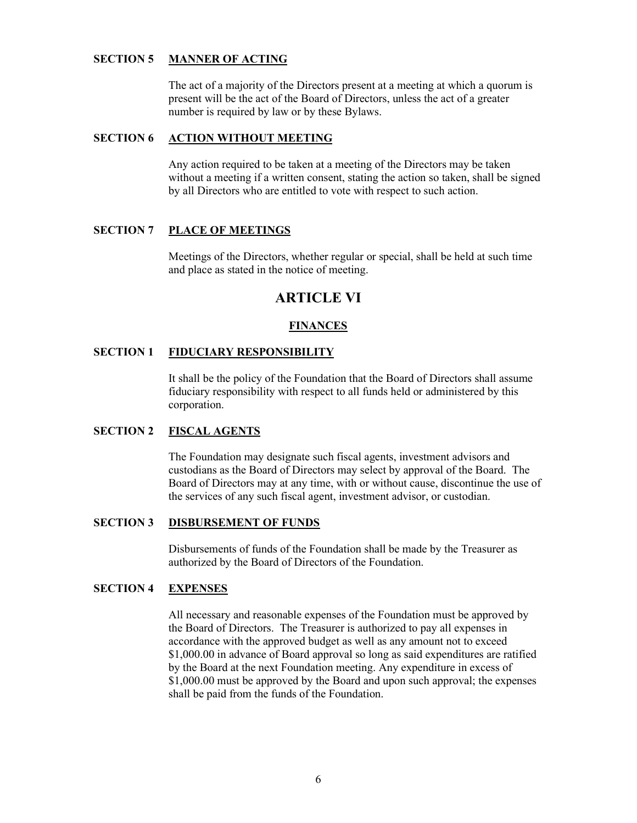## **SECTION 5 MANNER OF ACTING**

The act of a majority of the Directors present at a meeting at which a quorum is present will be the act of the Board of Directors, unless the act of a greater number is required by law or by these Bylaws.

#### **SECTION 6 ACTION WITHOUT MEETING**

Any action required to be taken at a meeting of the Directors may be taken without a meeting if a written consent, stating the action so taken, shall be signed by all Directors who are entitled to vote with respect to such action.

### **SECTION 7 PLACE OF MEETINGS**

Meetings of the Directors, whether regular or special, shall be held at such time and place as stated in the notice of meeting.

# **ARTICLE VI**

## **FINANCES**

## **SECTION 1 FIDUCIARY RESPONSIBILITY**

It shall be the policy of the Foundation that the Board of Directors shall assume fiduciary responsibility with respect to all funds held or administered by this corporation.

### **SECTION 2 FISCAL AGENTS**

The Foundation may designate such fiscal agents, investment advisors and custodians as the Board of Directors may select by approval of the Board. The Board of Directors may at any time, with or without cause, discontinue the use of the services of any such fiscal agent, investment advisor, or custodian.

## **SECTION 3 DISBURSEMENT OF FUNDS**

Disbursements of funds of the Foundation shall be made by the Treasurer as authorized by the Board of Directors of the Foundation.

## **SECTION 4 EXPENSES**

All necessary and reasonable expenses of the Foundation must be approved by the Board of Directors. The Treasurer is authorized to pay all expenses in accordance with the approved budget as well as any amount not to exceed \$1,000.00 in advance of Board approval so long as said expenditures are ratified by the Board at the next Foundation meeting. Any expenditure in excess of \$1,000.00 must be approved by the Board and upon such approval; the expenses shall be paid from the funds of the Foundation.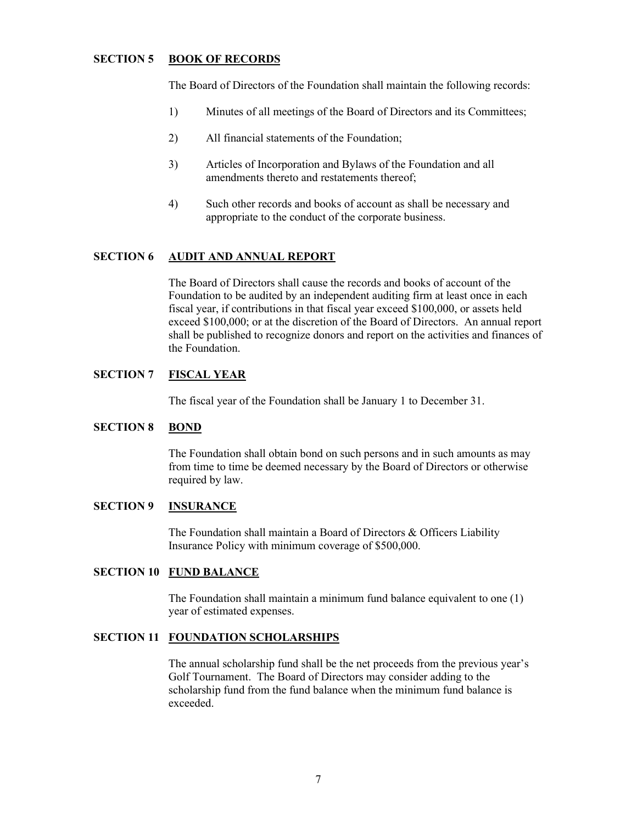## **SECTION 5 BOOK OF RECORDS**

The Board of Directors of the Foundation shall maintain the following records:

- 1) Minutes of all meetings of the Board of Directors and its Committees;
- 2) All financial statements of the Foundation;
- 3) Articles of Incorporation and Bylaws of the Foundation and all amendments thereto and restatements thereof;
- 4) Such other records and books of account as shall be necessary and appropriate to the conduct of the corporate business.

## **SECTION 6 AUDIT AND ANNUAL REPORT**

The Board of Directors shall cause the records and books of account of the Foundation to be audited by an independent auditing firm at least once in each fiscal year, if contributions in that fiscal year exceed \$100,000, or assets held exceed \$100,000; or at the discretion of the Board of Directors. An annual report shall be published to recognize donors and report on the activities and finances of the Foundation.

#### **SECTION 7 FISCAL YEAR**

The fiscal year of the Foundation shall be January 1 to December 31.

#### **SECTION 8 BOND**

The Foundation shall obtain bond on such persons and in such amounts as may from time to time be deemed necessary by the Board of Directors or otherwise required by law.

## **SECTION 9 INSURANCE**

The Foundation shall maintain a Board of Directors & Officers Liability Insurance Policy with minimum coverage of \$500,000.

#### **SECTION 10 FUND BALANCE**

The Foundation shall maintain a minimum fund balance equivalent to one (1) year of estimated expenses.

## **SECTION 11 FOUNDATION SCHOLARSHIPS**

The annual scholarship fund shall be the net proceeds from the previous year's Golf Tournament. The Board of Directors may consider adding to the scholarship fund from the fund balance when the minimum fund balance is exceeded.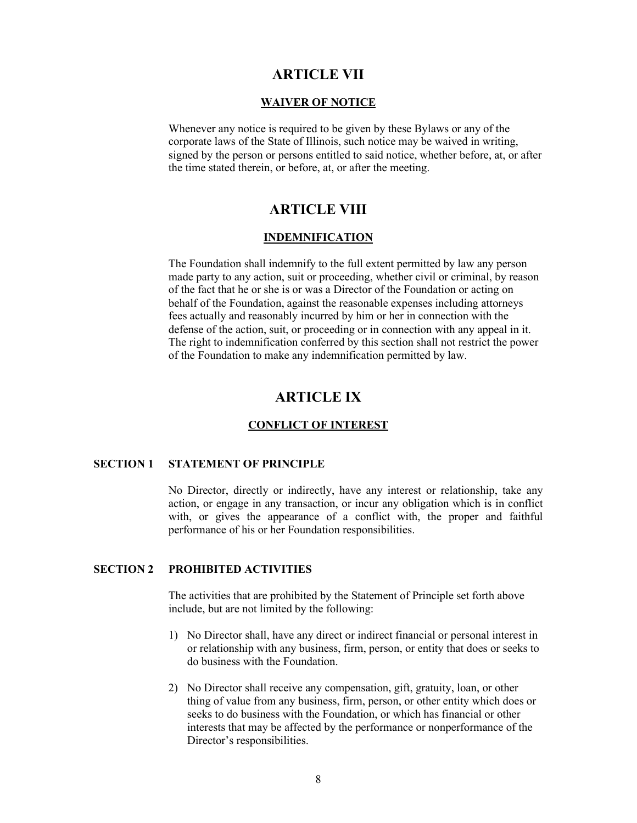## **ARTICLE VII**

#### **WAIVER OF NOTICE**

Whenever any notice is required to be given by these Bylaws or any of the corporate laws of the State of Illinois, such notice may be waived in writing, signed by the person or persons entitled to said notice, whether before, at, or after the time stated therein, or before, at, or after the meeting.

# **ARTICLE VIII**

#### **INDEMNIFICATION**

The Foundation shall indemnify to the full extent permitted by law any person made party to any action, suit or proceeding, whether civil or criminal, by reason of the fact that he or she is or was a Director of the Foundation or acting on behalf of the Foundation, against the reasonable expenses including attorneys fees actually and reasonably incurred by him or her in connection with the defense of the action, suit, or proceeding or in connection with any appeal in it. The right to indemnification conferred by this section shall not restrict the power of the Foundation to make any indemnification permitted by law.

# **ARTICLE IX**

#### **CONFLICT OF INTEREST**

#### **SECTION 1 STATEMENT OF PRINCIPLE**

No Director, directly or indirectly, have any interest or relationship, take any action, or engage in any transaction, or incur any obligation which is in conflict with, or gives the appearance of a conflict with, the proper and faithful performance of his or her Foundation responsibilities.

## **SECTION 2 PROHIBITED ACTIVITIES**

The activities that are prohibited by the Statement of Principle set forth above include, but are not limited by the following:

- 1) No Director shall, have any direct or indirect financial or personal interest in or relationship with any business, firm, person, or entity that does or seeks to do business with the Foundation.
- 2) No Director shall receive any compensation, gift, gratuity, loan, or other thing of value from any business, firm, person, or other entity which does or seeks to do business with the Foundation, or which has financial or other interests that may be affected by the performance or nonperformance of the Director's responsibilities.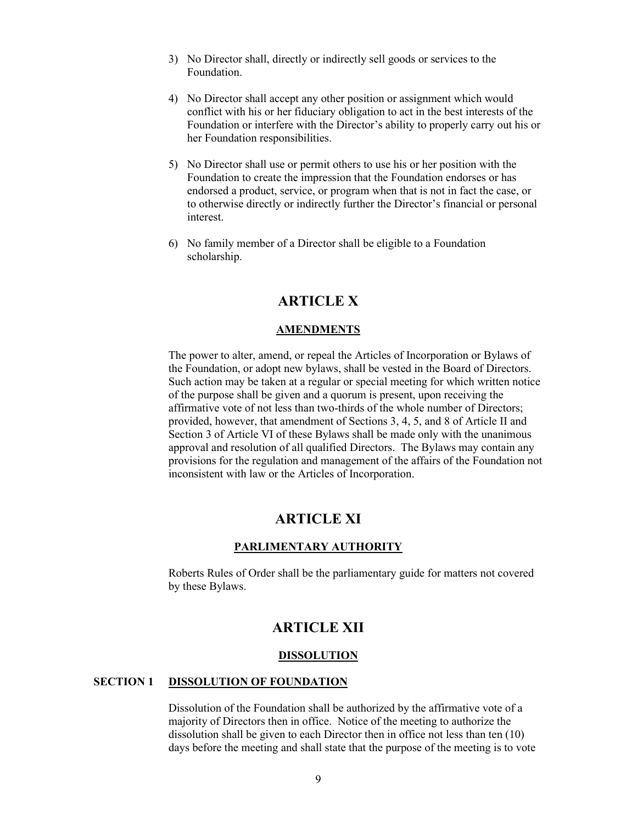- 3) No Director shall, directly or indirectly sell goods or services to the Foundation.
- 4) No Director shall accept any other position or assignment which would conflict with his or her fiduciary obligation to act in the best interests of the Foundation or interfere with the Director's ability to properly carry out his or her Foundation responsibilities.
- 5) No Director shall use or permit others to use his or her position with the Foundation to create the impression that the Foundation endorses or has endorsed a product, service, or program when that is not in fact the case, or to otherwise directly or indirectly further the Director's financial or personal interest.
- 6) No family member of a Director shall be eligible to a Foundation scholarship.

# **ARTICLE X**

#### **AMENDMENTS**

The power to alter, amend, or repeal the Articles of Incorporation or Bylaws of the Foundation, or adopt new bylaws, shall be vested in the Board of Directors. Such action may be taken at a regular or special meeting for which written notice of the purpose shall be given and a quorum is present, upon receiving the affirmative vote of not less than two-thirds of the whole number of Directors; provided, however, that amendment of Sections 3, 4, 5, and 8 of Article II and Section 3 of Article VI of these Bylaws shall be made only with the unanimous approval and resolution of all qualified Directors. The Bylaws may contain any provisions for the regulation and management of the affairs of the Foundation not inconsistent with law or the Articles of Incorporation.

# **ARTICLE XI**

#### **PARLIMENTARY AUTHORITY**

Roberts Rules of Order shall be the parliamentary guide for matters not covered by these Bylaws.

## **ARTICLE XII**

#### **DISSOLUTION**

## **SECTION 1 DISSOLUTION OF FOUNDATION**

Dissolution of the Foundation shall be authorized by the affirmative vote of a majority of Directors then in office. Notice of the meeting to authorize the dissolution shall be given to each Director then in office not less than ten (10) days before the meeting and shall state that the purpose of the meeting is to vote